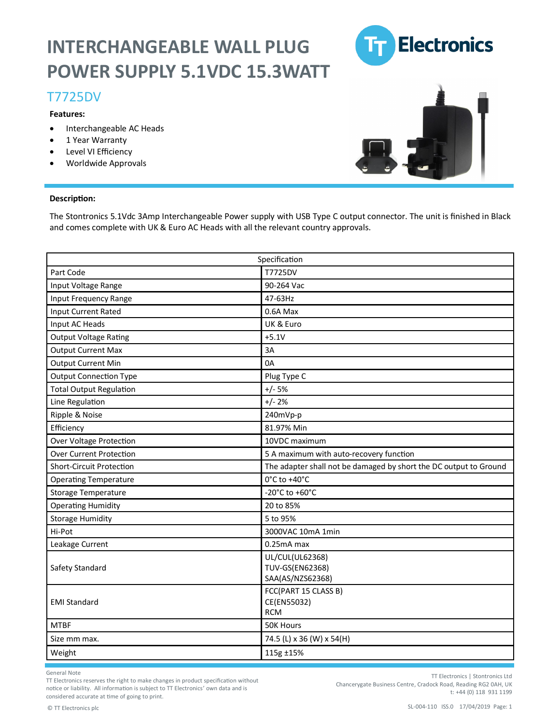# **INTERCHANGEABLE WALL PLUG POWER SUPPLY 5.1VDC 15.3WATT**

### T7725DV

### **Features:**

- Interchangeable AC Heads
- 1 Year Warranty
- Level VI Efficiency
- Worldwide Approvals



#### **Description:**

The Stontronics 5.1Vdc 3Amp Interchangeable Power supply with USB Type C output connector. The unit is finished in Black and comes complete with UK & Euro AC Heads with all the relevant country approvals.

| Specification                  |                                                                   |
|--------------------------------|-------------------------------------------------------------------|
| Part Code                      | T7725DV                                                           |
| Input Voltage Range            | 90-264 Vac                                                        |
| Input Frequency Range          | 47-63Hz                                                           |
| <b>Input Current Rated</b>     | 0.6A Max                                                          |
| Input AC Heads                 | UK & Euro                                                         |
| <b>Output Voltage Rating</b>   | $+5.1V$                                                           |
| <b>Output Current Max</b>      | 3A                                                                |
| <b>Output Current Min</b>      | 0A                                                                |
| <b>Output Connection Type</b>  | Plug Type C                                                       |
| <b>Total Output Regulation</b> | $+/- 5%$                                                          |
| Line Regulation                | $+/- 2%$                                                          |
| Ripple & Noise                 | 240mVp-p                                                          |
| Efficiency                     | 81.97% Min                                                        |
| Over Voltage Protection        | 10VDC maximum                                                     |
| <b>Over Current Protection</b> | 5 A maximum with auto-recovery function                           |
| Short-Circuit Protection       | The adapter shall not be damaged by short the DC output to Ground |
| <b>Operating Temperature</b>   | 0°C to +40°C                                                      |
| <b>Storage Temperature</b>     | -20°C to +60°C                                                    |
| <b>Operating Humidity</b>      | 20 to 85%                                                         |
| <b>Storage Humidity</b>        | 5 to 95%                                                          |
| Hi-Pot                         | 3000VAC 10mA 1min                                                 |
| Leakage Current                | 0.25mA max                                                        |
| Safety Standard                | UL/CUL(UL62368)<br><b>TUV-GS(EN62368)</b><br>SAA(AS/NZS62368)     |
| <b>EMI Standard</b>            | FCC(PART 15 CLASS B)<br>CE(EN55032)<br><b>RCM</b>                 |
| <b>MTBF</b>                    | <b>50K Hours</b>                                                  |
| Size mm max.                   | 74.5 (L) x 36 (W) x 54(H)                                         |
| Weight                         | 115g ±15%                                                         |

General Note

TT Electronics reserves the right to make changes in product specification without notice or liability. All information is subject to TT Electronics' own data and is considered accurate at time of going to print.